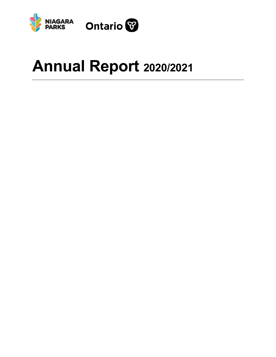



# **Annual Report 2020/2021**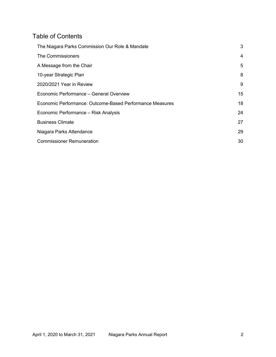### Table of Contents

| The Niagara Parks Commission Our Role & Mandate          | 3  |
|----------------------------------------------------------|----|
| The Commissioners                                        | 4  |
| A Message from the Chair                                 | 5  |
| 10-year Strategic Plan                                   | 8  |
| 2020/2021 Year in Review                                 | 9  |
| Economic Performance – General Overview                  | 15 |
| Economic Performance: Outcome-Based Performance Measures | 18 |
| Economic Performance - Risk Analysis                     | 24 |
| <b>Business Climate</b>                                  | 27 |
| Niagara Parks Attendance                                 | 29 |
| <b>Commissioner Remuneration</b>                         | 30 |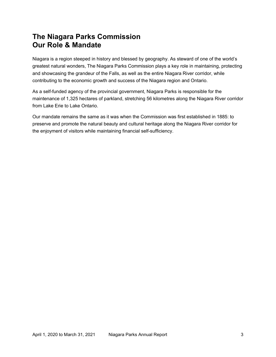# <span id="page-2-0"></span>**The Niagara Parks Commission Our Role & Mandate**

Niagara is a region steeped in history and blessed by geography. As steward of one of the world's greatest natural wonders, The Niagara Parks Commission plays a key role in maintaining, protecting and showcasing the grandeur of the Falls, as well as the entire Niagara River corridor, while contributing to the economic growth and success of the Niagara region and Ontario.

As a self-funded agency of the provincial government, Niagara Parks is responsible for the maintenance of 1,325 hectares of parkland, stretching 56 kilometres along the Niagara River corridor from Lake Erie to Lake Ontario.

 Our mandate remains the same as it was when the Commission was first established in 1885: to the enjoyment of visitors while maintaining financial self-sufficiency. preserve and promote the natural beauty and cultural heritage along the Niagara River corridor for the enjoyment of visitors while maintaining financial self-sufficiency.<br>April 1, 2020 to March 31, 2021 Niagara Parks Annual Report 3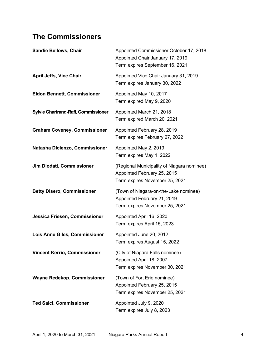# <span id="page-3-0"></span>**The Commissioners**

| <b>Sandie Bellows, Chair</b>        | Appointed Commissioner October 17, 2018<br>Appointed Chair January 17, 2019<br>Term expires September 16, 2021 |
|-------------------------------------|----------------------------------------------------------------------------------------------------------------|
| <b>April Jeffs, Vice Chair</b>      | Appointed Vice Chair January 31, 2019<br>Term expires January 30, 2022                                         |
| <b>Eldon Bennett, Commissioner</b>  | Appointed May 10, 2017<br>Term expired May 9, 2020                                                             |
| Sylvie Chartrand-Rafi, Commissioner | Appointed March 21, 2018<br>Term expired March 20, 2021                                                        |
| <b>Graham Coveney, Commissioner</b> | Appointed February 28, 2019<br>Term expires February 27, 2022                                                  |
| Natasha Dicienzo, Commissioner      | Appointed May 2, 2019<br>Term expires May 1, 2022                                                              |
| Jim Diodati, Commissioner           | (Regional Municipality of Niagara nominee)<br>Appointed February 25, 2015<br>Term expires November 25, 2021    |
| <b>Betty Disero, Commissioner</b>   | (Town of Niagara-on-the-Lake nominee)<br>Appointed February 21, 2019<br>Term expires November 25, 2021         |
| Jessica Friesen, Commissioner       | Appointed April 16, 2020<br>Term expires April 15, 2023                                                        |
| Lois Anne Giles, Commissioner       | Appointed June 20, 2012<br>Term expires August 15, 2022                                                        |
| <b>Vincent Kerrio, Commissioner</b> | (City of Niagara Falls nominee)<br>Appointed April 18, 2007<br>Term expires November 30, 2021                  |
| Wayne Redekop, Commissioner         | (Town of Fort Erie nominee)<br>Appointed February 25, 2015<br>Term expires November 25, 2021                   |
| <b>Ted Salci, Commissioner</b>      | Appointed July 9, 2020<br>Term expires July 8, 2023                                                            |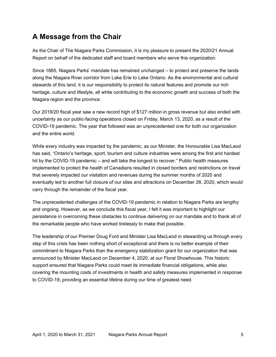# <span id="page-4-0"></span>**A Message from the Chair**

As the Chair of The Niagara Parks Commission, it is my pleasure to present the 2020/21 Annual Report on behalf of the dedicated staff and board members who serve this organization.

Since 1885, Niagara Parks' mandate has remained unchanged – to protect and preserve the lands along the Niagara River corridor from Lake Erie to Lake Ontario. As the environmental and cultural stewards of this land, it is our responsibility to protect its natural features and promote our rich heritage, culture and lifestyle, all while contributing to the economic growth and success of both the Niagara region and the province.

Our 2019/20 fiscal year saw a new record high of \$127 million in gross revenue but also ended with uncertainty as our public-facing operations closed on Friday, March 13, 2020, as a result of the COVID-19 pandemic. The year that followed was an unprecedented one for both our organization and the entire world.

 While every industry was impacted by the pandemic, as our Minister, the Honourable Lisa MacLeod that severely impacted our visitation and revenues during the summer months of 2020 and has said, "Ontario's heritage, sport, tourism and culture industries were among the first and hardest hit by the COVID-19 pandemic – and will take the longest to recover." Public health measures implemented to protect the health of Canadians resulted in closed borders and restrictions on travel eventually led to another full closure of our sites and attractions on December 26, 2020, which would carry through the remainder of the fiscal year.

The unprecedented challenges of the COVID-19 pandemic in relation to Niagara Parks are lengthy and ongoing. However, as we conclude this fiscal year, I felt it was important to highlight our persistence in overcoming these obstacles to continue delivering on our mandate and to thank all of the remarkable people who have worked tirelessly to make that possible.

 covering the mounting costs of investments in health and safety measures implemented in response The leadership of our Premier Doug Ford and Minister Lisa MacLeod in stewarding us through every step of this crisis has been nothing short of exceptional and there is no better example of their commitment to Niagara Parks than the emergency stabilization grant for our organization that was announced by Minister MacLeod on December 4, 2020, at our Floral Showhouse. This historic support ensured that Niagara Parks could meet its immediate financial obligations, while also to COVID-19, providing an essential lifeline during our time of greatest need.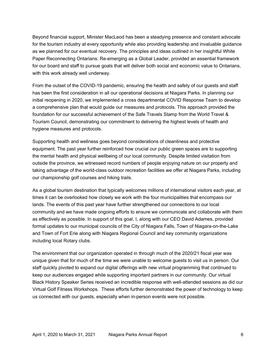Paper Reconnecting Ontarians: Re-emerging as a Global Leader, provided an essential framework Beyond financial support, Minister MacLeod has been a steadying presence and constant advocate for the tourism industry at every opportunity while also providing leadership and invaluable guidance as we planned for our eventual recovery. The principles and ideas outlined in her insightful White for our board and staff to pursue goals that will deliver both social and economic value to Ontarians, with this work already well underway.

 has been the first consideration in all our operational decisions at Niagara Parks. In planning our initial reopening in 2020, we implemented a cross departmental COVID Response Team to develop From the outset of the COVID-19 pandemic, ensuring the health and safety of our guests and staff a comprehensive plan that would guide our measures and protocols. This approach provided the foundation for our successful achievement of the Safe Travels Stamp from the World Travel & Tourism Council, demonstrating our commitment to delivering the highest levels of health and hygiene measures and protocols.

Supporting health and wellness goes beyond considerations of cleanliness and protective equipment. The past year further reinforced how crucial our public green spaces are to supporting the mental health and physical wellbeing of our local community. Despite limited visitation from outside the province, we witnessed record numbers of people enjoying nature on our property and taking advantage of the world-class outdoor recreation facilities we offer at Niagara Parks, including our championship golf courses and hiking trails.

 As a global tourism destination that typically welcomes millions of international visitors each year, at times it can be overlooked how closely we work with the four municipalities that encompass our lands. The events of this past year have further strengthened our connections to our local formal updates to our municipal councils of the City of Niagara Falls, Town of Niagara-on-the-Lake and Town of Fort Erie along with Niagara Regional Council and key community organizations community and we have made ongoing efforts to ensure we communicate and collaborate with them as effectively as possible. In support of this goal, I, along with our CEO David Adames, provided including local Rotary clubs.

 Black History Speaker Series received an incredible response with well-attended sessions as did our The environment that our organization operated in through much of the 2020/21 fiscal year was unique given that for much of the time we were unable to welcome guests to visit us in person. Our staff quickly pivoted to expand our digital offerings with new virtual programming that continued to keep our audiences engaged while supporting important partners in our community. Our virtual Virtual Golf Fitness Workshops. These efforts further demonstrated the power of technology to keep us connected with our guests, especially when in-person events were not possible.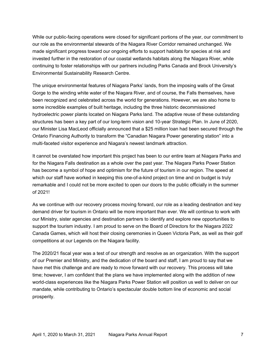continuing to foster relationships with our partners including Parks Canada and Brock University's While our public-facing operations were closed for significant portions of the year, our commitment to our role as the environmental stewards of the Niagara River Corridor remained unchanged. We made significant progress toward our ongoing efforts to support habitats for species at risk and invested further in the restoration of our coastal wetlands habitats along the Niagara River, while Environmental Sustainability Research Centre.

 structures has been a key part of our long-term vision and 10-year Strategic Plan. In June of 2020, The unique environmental features of Niagara Parks' lands, from the imposing walls of the Great Gorge to the winding white water of the Niagara River, and of course, the Falls themselves, have been recognized and celebrated across the world for generations. However, we are also home to some incredible examples of built heritage, including the three historic decommissioned hydroelectric power plants located on Niagara Parks land. The adaptive reuse of these outstanding our Minister Lisa MacLeod officially announced that a \$25 million loan had been secured through the Ontario Financing Authority to transform the "Canadian Niagara Power generating station" into a multi-faceted visitor experience and Niagara's newest landmark attraction.

It cannot be overstated how important this project has been to our entire team at Niagara Parks and for the Niagara Falls destination as a whole over the past year. The Niagara Parks Power Station has become a symbol of hope and optimism for the future of tourism in our region. The speed at which our staff have worked in keeping this one-of-a-kind project on time and on budget is truly remarkable and I could not be more excited to open our doors to the public officially in the summer of 2021!

 As we continue with our recovery process moving forward, our role as a leading destination and key Canada Games, which will host their closing ceremonies in Queen Victoria Park, as well as their golf demand driver for tourism in Ontario will be more important than ever. We will continue to work with our Ministry, sister agencies and destination partners to identify and explore new opportunities to support the tourism industry. I am proud to serve on the Board of Directors for the Niagara 2022 competitions at our Legends on the Niagara facility.

The 2020/21 fiscal year was a test of our strength and resolve as an organization. With the support of our Premier and Ministry, and the dedication of the board and staff, I am proud to say that we have met this challenge and are ready to move forward with our recovery. This process will take time; however, I am confident that the plans we have implemented along with the addition of new world-class experiences like the Niagara Parks Power Station will position us well to deliver on our mandate, while contributing to Ontario's spectacular double bottom line of economic and social prosperity.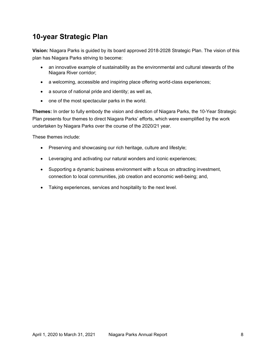# <span id="page-7-0"></span>**10-year Strategic Plan**

 **Vision:** Niagara Parks is guided by its board approved 2018-2028 Strategic Plan. The vision of this plan has Niagara Parks striving to become:

- an innovative example of sustainability as the environmental and cultural stewards of the Niagara River corridor;
- a welcoming, accessible and inspiring place offering world-class experiences;
- a source of national pride and identity; as well as,
- one of the most spectacular parks in the world.

**Themes:** In order to fully embody the vision and direction of Niagara Parks, the 10-Year Strategic Plan presents four themes to direct Niagara Parks' efforts, which were exemplified by the work undertaken by Niagara Parks over the course of the 2020/21 year.

These themes include:

- Preserving and showcasing our rich heritage, culture and lifestyle;
- Leveraging and activating our natural wonders and iconic experiences;
- Supporting a dynamic business environment with a focus on attracting investment, connection to local communities, job creation and economic well-being; and,
- $\bullet$ • Taking experiences, services and hospitality to the next level.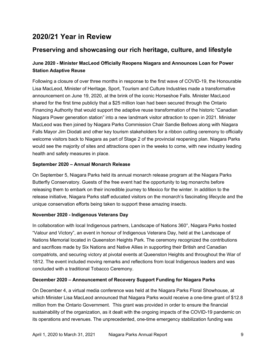# <span id="page-8-0"></span>**2020/21 Year in Review**

### **Preserving and showcasing our rich heritage, culture, and lifestyle**

### **June 2020 - Minister MacLeod Officially Reopens Niagara and Announces Loan for Power Station Adaptive Reuse**

Following a closure of over three months in response to the first wave of COVID-19, the Honourable Lisa MacLeod, Minister of Heritage, Sport, Tourism and Culture Industries made a transformative announcement on June 19, 2020, at the brink of the iconic Horseshoe Falls. Minister MacLeod shared for the first time publicly that a \$25 million loan had been secured through the Ontario Financing Authority that would support the adaptive reuse transformation of the historic "Canadian Niagara Power generation station" into a new landmark visitor attraction to open in 2021. Minister MacLeod was then joined by Niagara Parks Commission Chair Sandie Bellows along with Niagara Falls Mayor Jim Diodati and other key tourism stakeholders for a ribbon cutting ceremony to officially welcome visitors back to Niagara as part of Stage 2 of the provincial reopening plan. Niagara Parks would see the majority of sites and attractions open in the weeks to come, with new industry leading health and safety measures in place.

#### **September 2020 – Annual Monarch Release**

On September 5, Niagara Parks held its annual monarch release program at the Niagara Parks Butterfly Conservatory. Guests of the free event had the opportunity to tag monarchs before releasing them to embark on their incredible journey to Mexico for the winter. In addition to the release initiative, Niagara Parks staff educated visitors on the monarch's fascinating lifecycle and the unique conservation efforts being taken to support these amazing insects.

#### **November 2020 - Indigenous Veterans Day**

In collaboration with local Indigenous partners, Landscape of Nations 360°, Niagara Parks hosted "Valour and Victory", an event in honour of Indigenous Veterans Day, held at the Landscape of Nations Memorial located in Queenston Heights Park. The ceremony recognized the contributions and sacrifices made by Six Nations and Native Allies in supporting their British and Canadian compatriots, and securing victory at pivotal events at Queenston Heights and throughout the War of 1812. The event included moving remarks and reflections from local Indigenous leaders and was concluded with a traditional Tobacco Ceremony.

#### **December 2020 – Announcement of Recovery Support Funding for Niagara Parks**

On December 4, a virtual media conference was held at the Niagara Parks Floral Showhouse, at which Minister Lisa MacLeod announced that Niagara Parks would receive a one-time grant of \$12.8 million from the Ontario Government. This grant was provided in order to ensure the financial sustainability of the organization, as it dealt with the ongoing impacts of the COVID-19 pandemic on its operations and revenues. The unprecedented, one-time emergency stabilization funding was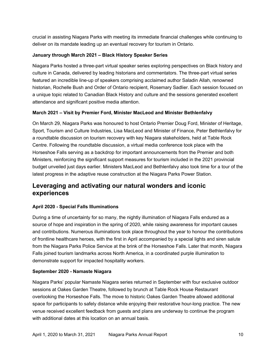crucial in assisting Niagara Parks with meeting its immediate financial challenges while continuing to deliver on its mandate leading up an eventual recovery for tourism in Ontario.

#### **January through March 2021 – Black History Speaker Series**

 a unique topic related to Canadian Black History and culture and the sessions generated excellent Niagara Parks hosted a three-part virtual speaker series exploring perspectives on Black history and culture in Canada, delivered by leading historians and commentators. The three-part virtual series featured an incredible line-up of speakers comprising acclaimed author Saladin Allah, renowned historian, Rochelle Bush and Order of Ontario recipient, Rosemary Sadlier. Each session focused on attendance and significant positive media attention.

#### **March 2021 – Visit by Premier Ford, Minister MacLeod and Minister Bethlenfalvy**

 a roundtable discussion on tourism recovery with key Niagara stakeholders, held at Table Rock Centre. Following the roundtable discussion, a virtual media conference took place with the latest progress in the adaptive reuse construction at the Niagara Parks Power Station. On March 29, Niagara Parks was honoured to host Ontario Premier Doug Ford, Minister of Heritage, Sport, Tourism and Culture Industries, Lisa MacLeod and Minister of Finance, Peter Bethlenfalvy for Horseshoe Falls serving as a backdrop for important announcements from the Premier and both Ministers, reinforcing the significant support measures for tourism included in the 2021 provincial budget unveiled just days earlier. Ministers MacLeod and Bethlenfalvy also took time for a tour of the

### **Leveraging and activating our natural wonders and iconic experiences**

#### **April 2020 - Special Falls Illuminations**

 source of hope and inspiration in the spring of 2020, while raising awareness for important causes During a time of uncertainty for so many, the nightly illumination of Niagara Falls endured as a and contributions. Numerous illuminations took place throughout the year to honour the contributions of frontline healthcare heroes, with the first in April accompanied by a special lights and siren salute from the Niagara Parks Police Service at the brink of the Horseshoe Falls. Later that month, Niagara Falls joined tourism landmarks across North America, in a coordinated purple illumination to demonstrate support for impacted hospitality workers.

#### **September 2020 - Namaste Niagara**

Niagara Parks' popular Namaste Niagara series returned in September with four exclusive outdoor sessions at Oakes Garden Theatre, followed by brunch at Table Rock House Restaurant overlooking the Horseshoe Falls. The move to historic Oakes Garden Theatre allowed additional space for participants to safely distance while enjoying their restorative hour-long practice. The new venue received excellent feedback from guests and plans are underway to continue the program with additional dates at this location on an annual basis.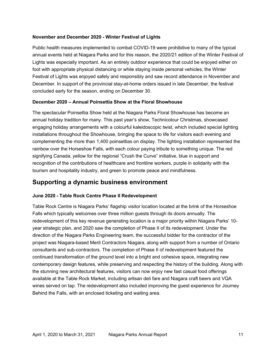#### **November and December 2020 - Winter Festival of Lights**

 Public health measures implemented to combat COVID-19 were prohibitive to many of the typical annual events held at Niagara Parks and for this reason, the 2020/21 edition of the Winter Festival of Lights was especially important. As an entirely outdoor experience that could be enjoyed either on foot with appropriate physical distancing or while staying inside personal vehicles, the Winter Festival of Lights was enjoyed safely and responsibly and saw record attendance in November and December. In support of the provincial stay-at-home orders issued in late December, the festival concluded early for the season, ending on December 30.

#### **December 2020 – Annual Poinsettia Show at the Floral Showhouse**

 The spectacular Poinsettia Show held at the Niagara Parks Floral Showhouse has become an annual holiday tradition for many. This past year's show, Technicolour Christmas, showcased engaging holiday arrangements with a colourful kaleidoscopic twist, which included special lighting installations throughout the Showhouse, bringing the space to life for visitors each evening and complementing the more than 1,400 poinsettias on display. The lighting installation represented the rainbow over the Horseshoe Falls, with each colour paying tribute to something unique. The red signifying Canada, yellow for the regional "Crush the Curve" initiative, blue in support and recognition of the contributions of healthcare and frontline workers, purple in solidarity with the tourism and hospitality industry, and green to promote peace and mindfulness.

### **Supporting a dynamic business environment**

#### **June 2020 - Table Rock Centre Phase II Redevelopment**

Table Rock Centre is Niagara Parks' flagship visitor location located at the brink of the Horseshoe Falls which typically welcomes over three million guests through its doors annually. The redevelopment of this key revenue generating location is a major priority within Niagara Parks' 10 year strategic plan, and 2020 saw the completion of Phase II of its redevelopment. Under the direction of the Niagara Parks Engineering team, the successful bidder for the contractor of the project was Niagara-based Merit Contractors Niagara, along with support from a number of Ontario consultants and sub-contractors. The completion of Phase II of redevelopment featured the continued transformation of the ground level into a bright and cohesive space, integrating new contemporary design features, while preserving and respecting the history of the building. Along with the stunning new architectural features, visitors can now enjoy new fast casual food offerings available at the Table Rock Market, including artisan deli fare and Niagara craft beers and VQA wines served on tap. The redevelopment also included improving the guest experience for Journey Behind the Falls, with an enclosed ticketing and waiting area.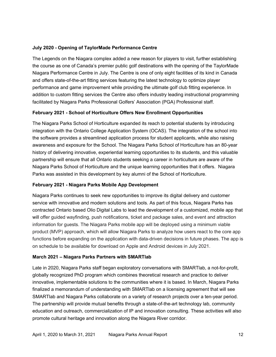#### **July 2020 - Opening of TaylorMade Performance Centre**

The Legends on the Niagara complex added a new reason for players to visit, further establishing the course as one of Canada's premier public golf destinations with the opening of the TaylorMade Niagara Performance Centre in July. The Centre is one of only eight facilities of its kind in Canada and offers state-of-the-art fitting services featuring the latest technology to optimize player performance and game improvement while providing the ultimate golf club fitting experience. In addition to custom fitting services the Centre also offers industry leading instructional programming facilitated by Niagara Parks Professional Golfers' Association (PGA) Professional staff.

#### **February 2021 - School of Horticulture Offers New Enrollment Opportunities**

 awareness and exposure for the School. The Niagara Parks School of Horticulture has an 80-year Parks was assisted in this development by key alumni of the School of Horticulture. The Niagara Parks School of Horticulture expanded its reach to potential students by introducing integration with the Ontario College Application System (OCAS). The integration of the school into the software provides a streamlined application process for student applicants, while also raising history of delivering innovative, experiential learning opportunities to its students, and this valuable partnership will ensure that all Ontario students seeking a career in horticulture are aware of the Niagara Parks School of Horticulture and the unique learning opportunities that it offers. Niagara

#### **February 2021 - Niagara Parks Mobile App Development**

Niagara Parks continues to seek new opportunities to improve its digital delivery and customer service with innovative and modern solutions and tools. As part of this focus, Niagara Parks has contracted Ontario based Olio Digital Labs to lead the development of a customized, mobile app that will offer guided wayfinding, push notifications, ticket and package sales, and event and attraction information for guests. The Niagara Parks mobile app will be deployed using a minimum viable product (MVP) approach, which will allow Niagara Parks to analyze how users react to the core app functions before expanding on the application with data-driven decisions in future phases. The app is on schedule to be available for download on Apple and Android devices in July 2021.

#### **March 2021 – Niagara Parks Partners with SMARTlab**

 finalized a memorandum of understanding with SMARTlab on a licensing agreement that will see Late in 2020, Niagara Parks staff began exploratory conversations with SMARTlab, a not-for-profit, globally recognized PhD program which combines theoretical research and practice to deliver innovative, implementable solutions to the communities where it is based. In March, Niagara Parks SMARTlab and Niagara Parks collaborate on a variety of research projects over a ten-year period. The partnership will provide mutual benefits through a state-of-the-art technology lab, community education and outreach, commercialization of IP and innovation consulting. These activities will also promote cultural heritage and innovation along the Niagara River corridor.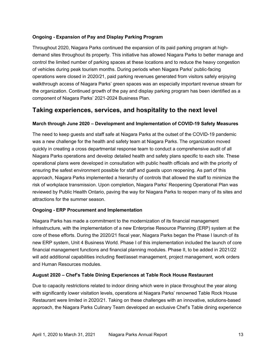#### **Ongoing - Expansion of Pay and Display Parking Program**

 of vehicles during peak tourism months. During periods when Niagara Parks' public-facing walkthrough access of Niagara Parks' green spaces was an especially important revenue stream for component of Niagara Parks' 2021-2024 Business Plan. Throughout 2020, Niagara Parks continued the expansion of its paid parking program at highdemand sites throughout its property. This initiative has allowed Niagara Parks to better manage and control the limited number of parking spaces at these locations and to reduce the heavy congestion operations were closed in 2020/21, paid parking revenues generated from visitors safely enjoying the organization. Continued growth of the pay and display parking program has been identified as a

### **Taking experiences, services, and hospitality to the next level**

#### **March through June 2020 – Development and Implementation of COVID-19 Safety Measures**

The need to keep guests and staff safe at Niagara Parks at the outset of the COVID-19 pandemic was a new challenge for the health and safety team at Niagara Parks. The organization moved quickly in creating a cross departmental response team to conduct a comprehensive audit of all Niagara Parks operations and develop detailed health and safety plans specific to each site. These operational plans were developed in consultation with public health officials and with the priority of ensuring the safest environment possible for staff and guests upon reopening. As part of this approach, Niagara Parks implemented a hierarchy of controls that allowed the staff to minimize the risk of workplace transmission. Upon completion, Niagara Parks' Reopening Operational Plan was reviewed by Public Health Ontario, paving the way for Niagara Parks to reopen many of its sites and attractions for the summer season.

#### **Ongoing - ERP Procurement and Implementation**

Niagara Parks has made a commitment to the modernization of its financial management infrastructure, with the implementation of a new Enterprise Resource Planning (ERP) system at the core of these efforts. During the 2020/21 fiscal year, Niagara Parks began the Phase I launch of its new ERP system, Unit 4 Business World. Phase I of this implementation included the launch of core financial management functions and financial planning modules. Phase II, to be added in 2021/22 will add additional capabilities including fleet/asset management, project management, work orders and Human Resources modules.

#### **August 2020 – Chef's Table Dining Experiences at Table Rock House Restaurant**

Due to capacity restrictions related to indoor dining which were in place throughout the year along with significantly lower visitation levels, operations at Niagara Parks' renowned Table Rock House Restaurant were limited in 2020/21. Taking on these challenges with an innovative, solutions-based approach, the Niagara Parks Culinary Team developed an exclusive Chef's Table dining experience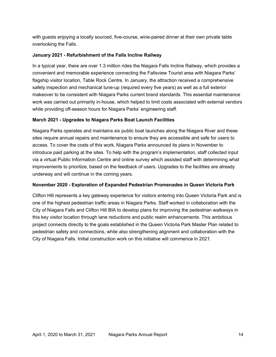with guests enjoying a locally sourced, five-course, wine-paired dinner at their own private table overlooking the Falls.

#### **January 2021 - Refurbishment of the Falls Incline Railway**

In a typical year, there are over 1.3 million rides the Niagara Falls Incline Railway, which provides a convenient and memorable experience connecting the Fallsview Tourist area with Niagara Parks' flagship visitor location, Table Rock Centre. In January, the attraction received a comprehensive safety inspection and mechanical tune-up (required every five years) as well as a full exterior makeover to be consistent with Niagara Parks current brand standards. This essential maintenance work was carried out primarily in-house, which helped to limit costs associated with external vendors while providing off-season hours for Niagara Parks' engineering staff.

#### **March 2021 - Upgrades to Niagara Parks Boat Launch Facilities**

Niagara Parks operates and maintains six public boat launches along the Niagara River and these sites require annual repairs and maintenance to ensure they are accessible and safe for users to access. To cover the costs of this work, Niagara Parks announced its plans in November to introduce paid parking at the sites. To help with the program's implementation, staff collected input via a virtual Public Information Centre and online survey which assisted staff with determining what improvements to prioritize, based on the feedback of users. Upgrades to the facilities are already underway and will continue in the coming years.

#### **November 2020 - Exploration of Expanded Pedestrian Promenades in Queen Victoria Park**

Clifton Hill represents a key gateway experience for visitors entering into Queen Victoria Park and is one of the highest pedestrian traffic areas in Niagara Parks. Staff worked in collaboration with the City of Niagara Falls and Clifton Hill BIA to develop plans for improving the pedestrian walkways in this key visitor location through lane reductions and public realm enhancements. This ambitious project connects directly to the goals established in the Queen Victoria Park Master Plan related to pedestrian safety and connections, while also strengthening alignment and collaboration with the City of Niagara Falls. Initial construction work on this initiative will commence in 2021.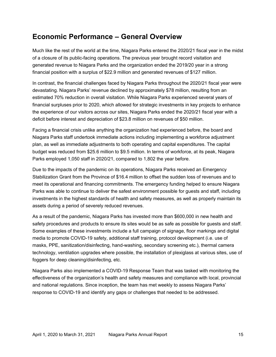# <span id="page-14-0"></span>**Economic Performance – General Overview**

Much like the rest of the world at the time, Niagara Parks entered the 2020/21 fiscal year in the midst of a closure of its public-facing operations. The previous year brought record visitation and generated revenue to Niagara Parks and the organization ended the 2019/20 year in a strong financial position with a surplus of \$22.9 million and generated revenues of \$127 million.

In contrast, the financial challenges faced by Niagara Parks throughout the 2020/21 fiscal year were devastating. Niagara Parks' revenue declined by approximately \$78 million, resulting from an estimated 70% reduction in overall visitation. While Niagara Parks experienced several years of financial surpluses prior to 2020, which allowed for strategic investments in key projects to enhance the experience of our visitors across our sites, Niagara Parks ended the 2020/21 fiscal year with a deficit before interest and depreciation of \$23.8 million on revenues of \$50 million.

Facing a financial crisis unlike anything the organization had experienced before, the board and Niagara Parks staff undertook immediate actions including implementing a workforce adjustment plan, as well as immediate adjustments to both operating and capital expenditures. The capital budget was reduced from \$25.6 million to \$9.5 million. In terms of workforce, at its peak, Niagara Parks employed 1,050 staff in 2020/21, compared to 1,802 the year before.

Due to the impacts of the pandemic on its operations, Niagara Parks received an Emergency Stabilization Grant from the Province of \$16.4 million to offset the sudden loss of revenues and to meet its operational and financing commitments. The emergency funding helped to ensure Niagara Parks was able to continue to deliver the safest environment possible for guests and staff, including investments in the highest standards of health and safety measures, as well as properly maintain its assets during a period of severely reduced revenues.

As a result of the pandemic, Niagara Parks has invested more than \$600,000 in new health and safety procedures and products to ensure its sites would be as safe as possible for guests and staff. Some examples of these investments include a full campaign of signage, floor markings and digital media to promote COVID-19 safety, additional staff training, protocol development (i.e. use of masks, PPE, sanitization/disinfecting, hand-washing, secondary screening etc.), thermal camera technology, ventilation upgrades where possible, the installation of plexiglass at various sites, use of foggers for deep cleaning/disinfecting, etc.

 and national regulations. Since inception, the team has met weekly to assess Niagara Parks' Niagara Parks also implemented a COVID-19 Response Team that was tasked with monitoring the effectiveness of the organization's health and safety measures and compliance with local, provincial response to COVID-19 and identify any gaps or challenges that needed to be addressed.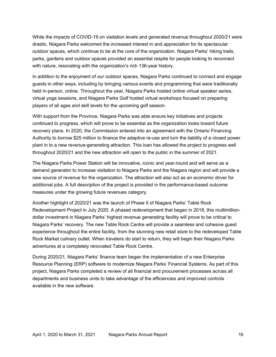drastic, Niagara Parks welcomed the increased interest in and appreciation for its spectacular While the impacts of COVID-19 on visitation levels and generated revenue throughout 2020/21 were outdoor spaces, which continue to be at the core of the organization. Niagara Parks' hiking trails, parks, gardens and outdoor spaces provided an essential respite for people looking to reconnect with nature, resonating with the organization's rich 136-year history.

 guests in other ways, including by bringing various events and programming that were traditionally players of all ages and skill levels for the upcoming golf season. In addition to the enjoyment of our outdoor spaces, Niagara Parks continued to connect and engage held in-person, online. Throughout the year, Niagara Parks hosted online virtual speaker series, virtual yoga sessions, and Niagara Parks Golf hosted virtual workshops focused on preparing

 plant in to a new revenue-generating attraction. This loan has allowed the project to progress well With support from the Province, Niagara Parks was able ensure key initiatives and projects continued to progress, which will prove to be essential as the organization looks toward future recovery plans. In 2020, the Commission entered into an agreement with the Ontario Financing Authority to borrow \$25 million to finance the adaptive re-use and turn the liability of a closed power throughout 2020/21 and the new attraction will open to the public in the summer of 2021.

The Niagara Parks Power Station will be innovative, iconic and year-round and will serve as a demand generator to increase visitation to Niagara Parks and the Niagara region and will provide a new source of revenue for the organization. The attraction will also act as an economic driver for additional jobs. A full description of the project is provided in the performance-based outcome measures under the growing future revenues category.

Another highlight of 2020/21 was the launch of Phase II of Niagara Parks' Table Rock Redevelopment Project in July 2020. A phased redevelopment that began in 2018, this multimilliondollar investment in Niagara Parks' highest revenue generating facility will prove to be critical to Niagara Parks' recovery. The new Table Rock Centre will provide a seamless and cohesive guest experience throughout the entire facility, from the stunning new retail store to the redeveloped Table Rock Market culinary outlet. When travelers do start to return, they will begin their Niagara Parks adventures at a completely renovated Table Rock Centre.

 During 2020/21, Niagara Parks' finance team began the implementation of a new Enterprise Resource Planning (ERP) software to modernize Niagara Parks' Financial Systems. As part of this project, Niagara Parks completed a review of all financial and procurement processes across all departments and business units to take advantage of the efficiencies and improved controls available in the new software.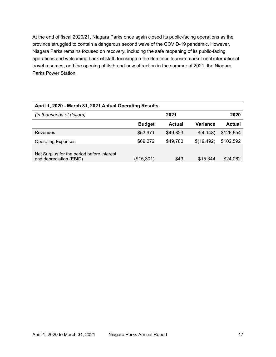operations and welcoming back of staff, focusing on the domestic tourism market until international Parks Power Station. At the end of fiscal 2020/21, Niagara Parks once again closed its public-facing operations as the province struggled to contain a dangerous second wave of the COVID-19 pandemic. However, Niagara Parks remains focused on recovery, including the safe reopening of its public-facing travel resumes, and the opening of its brand-new attraction in the summer of 2021, the Niagara

| April 1, 2020 - March 31, 2021 Actual Operating Results               |               |               |            |               |
|-----------------------------------------------------------------------|---------------|---------------|------------|---------------|
| (in thousands of dollars)                                             | 2021<br>2020  |               |            |               |
|                                                                       | <b>Budget</b> | <b>Actual</b> | Variance   | <b>Actual</b> |
| Revenues                                                              | \$53,971      | \$49,823      | \$(4,148)  | \$126,654     |
| <b>Operating Expenses</b>                                             | \$69,272      | \$49,780      | \$(19,492) | \$102,592     |
| Net Surplus for the period before interest<br>and depreciation (EBID) | (\$15,301)    | \$43          | \$15,344   | \$24,062      |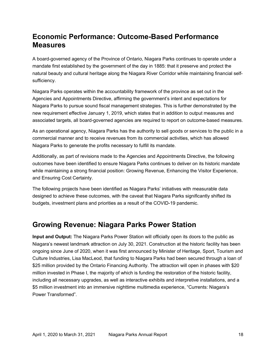# <span id="page-17-0"></span>**Economic Performance: Outcome-Based Performance Measures**

A board-governed agency of the Province of Ontario, Niagara Parks continues to operate under a mandate first established by the government of the day in 1885: that it preserve and protect the natural beauty and cultural heritage along the Niagara River Corridor while maintaining financial selfsufficiency.

Niagara Parks operates within the accountability framework of the province as set out in the Agencies and Appointments Directive, affirming the government's intent and expectations for Niagara Parks to pursue sound fiscal management strategies. This is further demonstrated by the new requirement effective January 1, 2019, which states that in addition to output measures and associated targets, all board-governed agencies are required to report on outcome-based measures.

As an operational agency, Niagara Parks has the authority to sell goods or services to the public in a commercial manner and to receive revenues from its commercial activities, which has allowed Niagara Parks to generate the profits necessary to fulfill its mandate.

Additionally, as part of revisions made to the Agencies and Appointments Directive, the following outcomes have been identified to ensure Niagara Parks continues to deliver on its historic mandate while maintaining a strong financial position: Growing Revenue, Enhancing the Visitor Experience, and Ensuring Cost Certainty.

The following projects have been identified as Niagara Parks' initiatives with measurable data designed to achieve these outcomes, with the caveat that Niagara Parks significantly shifted its budgets, investment plans and priorities as a result of the COVID-19 pandemic.

### **Growing Revenue: Niagara Parks Power Station**

 **Input and Output:** The Niagara Parks Power Station will officially open its doors to the public as Niagara's newest landmark attraction on July 30, 2021. Construction at the historic facility has been ongoing since June of 2020, when it was first announced by Minister of Heritage, Sport, Tourism and Culture Industries, Lisa MacLeod, that funding to Niagara Parks had been secured through a loan of \$25 million provided by the Ontario Financing Authority. The attraction will open in phases with \$20 million invested in Phase I, the majority of which is funding the restoration of the historic facility, including all necessary upgrades, as well as interactive exhibits and interpretive installations, and a \$5 million investment into an immersive nighttime multimedia experience, "Currents: Niagara's Power Transformed".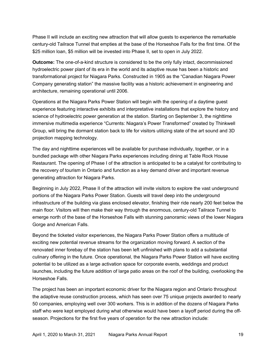Phase II will include an exciting new attraction that will allow guests to experience the remarkable century-old Tailrace Tunnel that empties at the base of the Horseshoe Falls for the first time. Of the \$25 million loan, \$5 million will be invested into Phase II, set to open in July 2022.

**Outcome:** The one-of-a-kind structure is considered to be the only fully intact, decommissioned hydroelectric power plant of its era in the world and its adaptive reuse has been a historic and transformational project for Niagara Parks. Constructed in 1905 as the "Canadian Niagara Power Company generating station" the massive facility was a historic achievement in engineering and architecture, remaining operational until 2006.

 Operations at the Niagara Parks Power Station will begin with the opening of a daytime guest experience featuring interactive exhibits and interpretative installations that explore the history and science of hydroelectric power generation at the station. Starting on September 3, the nighttime immersive multimedia experience "Currents: Niagara's Power Transformed" created by Thinkwell Group, will bring the dormant station back to life for visitors utilizing state of the art sound and 3D projection mapping technology.

The day and nighttime experiences will be available for purchase individually, together, or in a bundled package with other Niagara Parks experiences including dining at Table Rock House Restaurant. The opening of Phase I of the attraction is anticipated to be a catalyst for contributing to the recovery of tourism in Ontario and function as a key demand driver and important revenue generating attraction for Niagara Parks.

Beginning in July 2022, Phase II of the attraction will invite visitors to explore the vast underground portions of the Niagara Parks Power Station. Guests will travel deep into the underground infrastructure of the building via glass enclosed elevator, finishing their ride nearly 200 feet below the main floor. Visitors will then make their way through the enormous, century-old Tailrace Tunnel to emerge north of the base of the Horseshoe Falls with stunning panoramic views of the lower Niagara Gorge and American Falls.

 Beyond the ticketed visitor experiences, the Niagara Parks Power Station offers a multitude of exciting new potential revenue streams for the organization moving forward. A section of the renovated inner forebay of the station has been left unfinished with plans to add a substantial culinary offering in the future. Once operational, the Niagara Parks Power Station will have exciting potential to be utilized as a large activation space for corporate events, weddings and product launches, including the future addition of large patio areas on the roof of the building, overlooking the Horseshoe Falls.

The project has been an important economic driver for the Niagara region and Ontario throughout the adaptive reuse construction process, which has seen over 75 unique projects awarded to nearly 50 companies, employing well over 300 workers. This is in addition of the dozens of Niagara Parks staff who were kept employed during what otherwise would have been a layoff period during the offseason. Projections for the first five years of operation for the new attraction include: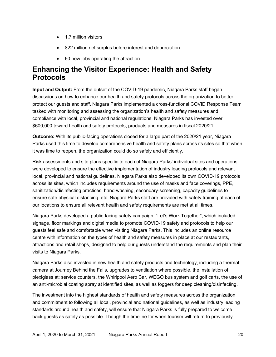- 1.7 million visitors
- \$22 million net surplus before interest and depreciation
- $\bullet$ • 60 new jobs operating the attraction

### **Enhancing the Visitor Experience: Health and Safety Protocols**

 compliance with local, provincial and national regulations. Niagara Parks has invested over **Input and Output:** From the outset of the COVID-19 pandemic, Niagara Parks staff began discussions on how to enhance our health and safety protocols across the organization to better protect our guests and staff. Niagara Parks implemented a cross-functional COVID Response Team tasked with monitoring and assessing the organization's health and safety measures and \$600,000 toward health and safety protocols, products and measures in fiscal 2020/21.

**Outcome:** With its public-facing operations closed for a large part of the 2020/21 year, Niagara Parks used this time to develop comprehensive health and safety plans across its sites so that when it was time to reopen, the organization could do so safely and efficiently.

Risk assessments and site plans specific to each of Niagara Parks' individual sites and operations were developed to ensure the effective implementation of industry leading protocols and relevant local, provincial and national guidelines. Niagara Parks also developed its own COVID-19 protocols across its sites, which includes requirements around the use of masks and face coverings, PPE, sanitization/disinfecting practices, hand-washing, secondary-screening, capacity guidelines to ensure safe physical distancing, etc. Niagara Parks staff are provided with safety training at each of our locations to ensure all relevant health and safety requirements are met at all times.

Niagara Parks developed a public-facing safety campaign, "Let's Work Together", which included signage, floor markings and digital media to promote COVID-19 safety and protocols to help our guests feel safe and comfortable when visiting Niagara Parks. This includes an online resource centre with information on the types of health and safety measures in place at our restaurants, attractions and retail shops, designed to help our guests understand the requirements and plan their visits to Niagara Parks.

Niagara Parks also invested in new health and safety products and technology, including a thermal camera at Journey Behind the Falls, upgrades to ventilation where possible, the installation of plexiglass at: service counters, the Whirlpool Aero Car, WEGO bus system and golf carts, the use of an anti-microbial coating spray at identified sites, as well as foggers for deep cleaning/disinfecting.

The investment into the highest standards of health and safety measures across the organization and commitment to following all local, provincial and national guidelines, as well as industry leading standards around health and safety, will ensure that Niagara Parks is fully prepared to welcome back guests as safely as possible. Though the timeline for when tourism will return to previously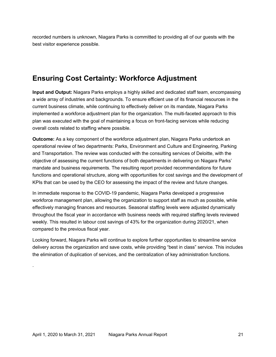recorded numbers is unknown, Niagara Parks is committed to providing all of our guests with the best visitor experience possible.

# **Ensuring Cost Certainty: Workforce Adjustment**

**Input and Output:** Niagara Parks employs a highly skilled and dedicated staff team, encompassing a wide array of industries and backgrounds. To ensure efficient use of its financial resources in the current business climate, while continuing to effectively deliver on its mandate, Niagara Parks implemented a workforce adjustment plan for the organization. The multi-faceted approach to this plan was executed with the goal of maintaining a focus on front-facing services while reducing overall costs related to staffing where possible.

**Outcome:** As a key component of the workforce adjustment plan, Niagara Parks undertook an operational review of two departments: Parks, Environment and Culture and Engineering, Parking and Transportation. The review was conducted with the consulting services of Deloitte, with the objective of assessing the current functions of both departments in delivering on Niagara Parks' mandate and business requirements. The resulting report provided recommendations for future functions and operational structure, along with opportunities for cost savings and the development of KPIs that can be used by the CEO for assessing the impact of the review and future changes.

In immediate response to the COVID-19 pandemic, Niagara Parks developed a progressive workforce management plan, allowing the organization to support staff as much as possible, while effectively managing finances and resources. Seasonal staffing levels were adjusted dynamically throughout the fiscal year in accordance with business needs with required staffing levels reviewed weekly. This resulted in labour cost savings of 43% for the organization during 2020/21, when compared to the previous fiscal year.

 Looking forward, Niagara Parks will continue to explore further opportunities to streamline service delivery across the organization and save costs, while providing "best in class" service. This includes the elimination of duplication of services, and the centralization of key administration functions.

.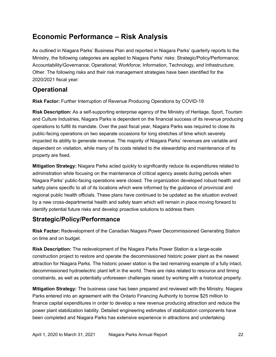# <span id="page-21-0"></span>**Economic Performance – Risk Analysis**

 2020/2021 fiscal year: As outlined in Niagara Parks' Business Plan and reported in Niagara Parks' quarterly reports to the Ministry, the following categories are applied to Niagara Parks' risks: Strategic/Policy/Performance; Accountability/Governance; Operational; Workforce; Information, Technology, and Infrastructure; Other. The following risks and their risk management strategies have been identified for the

### <span id="page-21-1"></span>**Operational**

**Risk Factor:** Further Interruption of Revenue Producing Operations by COVID-19

**Risk Description:** As a self-supporting enterprise agency of the Ministry of Heritage, Sport, Tourism and Culture Industries, Niagara Parks is dependent on the financial success of its revenue producing operations to fulfill its mandate. Over the past fiscal year, Niagara Parks was required to close its public-facing operations on two separate occasions for long stretches of time which severely impacted its ability to generate revenue. The majority of Niagara Parks' revenues are variable and dependent on visitation, while many of its costs related to the stewardship and maintenance of its property are fixed.

**Mitigation Strategy:** Niagara Parks acted quickly to significantly reduce its expenditures related to administration while focusing on the maintenance of critical agency assets during periods when Niagara Parks' public-facing operations were closed. The organization developed robust health and safety plans specific to all of its locations which were informed by the guidance of provincial and regional public health officials. These plans have continued to be updated as the situation evolved by a new cross-departmental health and safety team which will remain in place moving forward to identify potential future risks and develop proactive solutions to address them.

### **Strategic/Policy/Performance**

**Risk Factor:** Redevelopment of the Canadian Niagara Power Decommissioned Generating Station on time and on budget.

**Risk Description:** The redevelopment of the Niagara Parks Power Station is a large-scale construction project to restore and operate the decommissioned historic power plant as the newest attraction for Niagara Parks. The historic power station is the last remaining example of a fully intact, decommissioned hydroelectric plant left in the world. There are risks related to resource and timing constraints, as well as potentially unforeseen challenges raised by working with a historical property.

**Mitigation Strategy:** The business case has been prepared and reviewed with the Ministry. Niagara Parks entered into an agreement with the Ontario Financing Authority to borrow \$25 million to finance capital expenditures in order to develop a new revenue producing attraction and reduce the power plant stabilization liability. Detailed engineering estimates of stabilization components have been completed and Niagara Parks has extensive experience in attractions and undertaking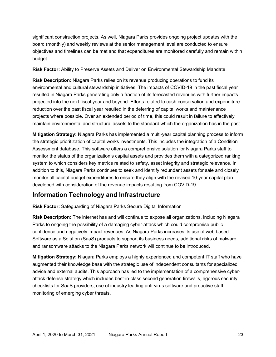significant construction projects. As well, Niagara Parks provides ongoing project updates with the board (monthly) and weekly reviews at the senior management level are conducted to ensure objectives and timelines can be met and that expenditures are monitored carefully and remain within budget.

**Risk Factor:** Ability to Preserve Assets and Deliver on Environmental Stewardship Mandate

**Risk Description:** Niagara Parks relies on its revenue producing operations to fund its environmental and cultural stewardship initiatives. The impacts of COVID-19 in the past fiscal year resulted in Niagara Parks generating only a fraction of its forecasted revenues with further impacts projected into the next fiscal year and beyond. Efforts related to cash conservation and expenditure reduction over the past fiscal year resulted in the deferring of capital works and maintenance projects where possible. Over an extended period of time, this could result in failure to effectively maintain environmental and structural assets to the standard which the organization has in the past.

**Mitigation Strategy:** Niagara Parks has implemented a multi-year capital planning process to inform the strategic prioritization of capital works investments. This includes the integration of a Condition Assessment database. This software offers a comprehensive solution for Niagara Parks staff to monitor the status of the organization's capital assets and provides them with a categorized ranking system to which considers key metrics related to safety, asset integrity and strategic relevance. In addition to this, Niagara Parks continues to seek and identify redundant assets for sale and closely monitor all capital budget expenditures to ensure they align with the revised 10-year capital plan developed with consideration of the revenue impacts resulting from COVID-19.

### **Information Technology and Infrastructure**

**Risk Factor:** Safeguarding of Niagara Parks Secure Digital Information

**Risk Description:** The internet has and will continue to expose all organizations, including Niagara Parks to ongoing the possibility of a damaging cyber-attack which could compromise public confidence and negatively impact revenues. As Niagara Parks increases its use of web based Software as a Solution (SaaS) products to support its business needs, additional risks of malware and ransomware attacks to the Niagara Parks network will continue to be introduced.

**Mitigation Strategy:** Niagara Parks employs a highly experienced and competent IT staff who have augmented their knowledge base with the strategic use of independent consultants for specialized advice and external audits. This approach has led to the implementation of a comprehensive cyberattack defense strategy which includes best-in-class second generation firewalls, rigorous security checklists for SaaS providers, use of industry leading anti-virus software and proactive staff monitoring of emerging cyber threats.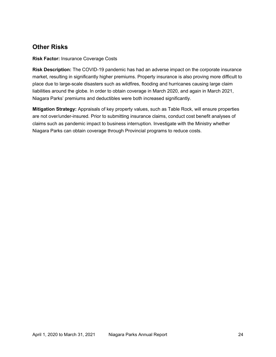### **Other Risks**

**Risk Factor:** Insurance Coverage Costs

**Risk Description:** The COVID-19 pandemic has had an adverse impact on the corporate insurance market, resulting in significantly higher premiums. Property insurance is also proving more difficult to place due to large-scale disasters such as wildfires, flooding and hurricanes causing large claim liabilities around the globe. In order to obtain coverage in March 2020, and again in March 2021, Niagara Parks' premiums and deductibles were both increased significantly.

**Mitigation Strategy:** Appraisals of key property values, such as Table Rock, will ensure properties are not over/under-insured. Prior to submitting insurance claims, conduct cost benefit analyses of claims such as pandemic impact to business interruption. Investigate with the Ministry whether Niagara Parks can obtain coverage through Provincial programs to reduce costs.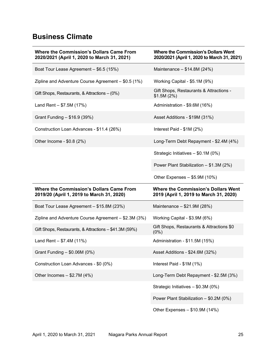# **Business Climate**

| <b>Where the Commission's Dollars Came From</b><br>2020/2021 (April 1, 2020 to March 31, 2021) | <b>Where the Commission's Dollars Went</b><br>2020/2021 (April 1, 2020 to March 31, 2021) |  |  |
|------------------------------------------------------------------------------------------------|-------------------------------------------------------------------------------------------|--|--|
| Boat Tour Lease Agreement - \$6.5 (15%)                                                        | Maintenance $- $14.8M (24%)$                                                              |  |  |
| Zipline and Adventure Course Agreement - \$0.5 (1%)                                            | Working Capital - \$5.1M (9%)                                                             |  |  |
| Gift Shops, Restaurants, & Attractions - (0%)                                                  | Gift Shops, Restaurants & Attractions -<br>\$1.5M(2%)                                     |  |  |
| Land Rent $-$ \$7.5M (17%)                                                                     | Administration - \$9.6M (16%)                                                             |  |  |
| Grant Funding - \$16.9 (39%)                                                                   | Asset Additions - \$19M (31%)                                                             |  |  |
| Construction Loan Advances - \$11.4 (26%)                                                      | Interest Paid - \$1M (2%)                                                                 |  |  |
| Other Income - \$0.8 (2%)                                                                      | Long-Term Debt Repayment - \$2.4M (4%)                                                    |  |  |
|                                                                                                | Strategic Initiatives - \$0.1M (0%)                                                       |  |  |
|                                                                                                | Power Plant Stabilization - \$1.3M (2%)                                                   |  |  |
|                                                                                                | Other Expenses - \$5.9M (10%)                                                             |  |  |
|                                                                                                |                                                                                           |  |  |
| <b>Where the Commission's Dollars Came From</b><br>2019/20 (April 1, 2019 to March 31, 2020)   | <b>Where the Commission's Dollars Went</b><br>2019 (April 1, 2019 to March 31, 2020)      |  |  |
| Boat Tour Lease Agreement - \$15.8M (23%)                                                      | Maintenance $-$ \$21.9M (28%)                                                             |  |  |
| Zipline and Adventure Course Agreement - \$2.3M (3%)                                           | Working Capital - \$3.9M (6%)                                                             |  |  |
| Gift Shops, Restaurants, & Attractions - \$41.3M (59%)                                         | Gift Shops, Restaurants & Attractions \$0<br>$(0\%)$                                      |  |  |
| Land Rent $- $7.4M (11%)$                                                                      | Administration - \$11.5M (15%)                                                            |  |  |
| Grant Funding - \$0.06M (0%)                                                                   | Asset Additions - \$24.6M (32%)                                                           |  |  |
| Construction Loan Advances - \$0 (0%)                                                          | Interest Paid - \$1M (1%)                                                                 |  |  |
| Other Incomes $- $2.7M (4%)$                                                                   | Long-Term Debt Repayment - \$2.5M (3%)                                                    |  |  |
|                                                                                                | Strategic Initiatives - \$0.3M (0%)                                                       |  |  |
|                                                                                                | Power Plant Stabilization - \$0.2M (0%)                                                   |  |  |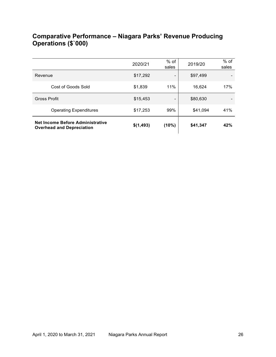### **Comparative Performance – Niagara Parks' Revenue Producing Operations (\$`000)**

| <b>Net Income Before Administrative</b><br><b>Overhead and Depreciation</b> | \$(1,493) | (10%)         | \$41,347 | 42%             |
|-----------------------------------------------------------------------------|-----------|---------------|----------|-----------------|
| <b>Operating Expenditures</b>                                               | \$17,253  | 99%           | \$41,094 | 41%             |
| <b>Gross Profit</b>                                                         | \$15,453  |               | \$80,630 |                 |
| Cost of Goods Sold                                                          | \$1,839   | 11%           | 16,624   | 17%             |
| Revenue                                                                     | \$17,292  | -             | \$97,499 |                 |
|                                                                             | 2020/21   | % of<br>sales | 2019/20  | $%$ of<br>sales |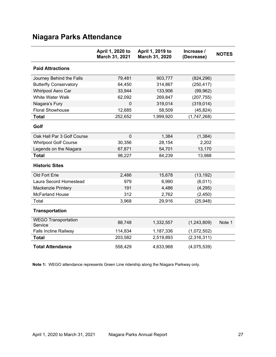# <span id="page-26-0"></span>**Niagara Parks Attendance**

|                                       | April 1, 2020 to<br>March 31, 2021 | April 1, 2019 to<br>March 31, 2020 | Increase /<br>(Decrease) | <b>NOTES</b> |
|---------------------------------------|------------------------------------|------------------------------------|--------------------------|--------------|
| <b>Paid Attractions</b>               |                                    |                                    |                          |              |
| Journey Behind the Falls              | 79,481                             | 903,777                            | (824, 296)               |              |
| <b>Butterfly Conservatory</b>         | 64,450                             | 314,867                            | (250, 417)               |              |
| Whirlpool Aero Car                    | 33,944                             | 133,906                            | (99, 962)                |              |
| <b>White Water Walk</b>               | 62,092                             | 269,847                            | (207, 755)               |              |
| Niagara's Fury                        | $\mathbf 0$                        | 319,014                            | (319, 014)               |              |
| <b>Floral Showhouse</b>               | 12,685                             | 58,509                             | (45, 824)                |              |
| <b>Total</b>                          | 252,652                            | 1,999,920                          | (1,747,268)              |              |
| Golf                                  |                                    |                                    |                          |              |
| Oak Hall Par 3 Golf Course            | $\overline{0}$                     | 1,384                              | (1, 384)                 |              |
| <b>Whirlpool Golf Course</b>          | 30,356                             | 28,154                             | 2,202                    |              |
| Legends on the Niagara                | 67,871                             | 54,701                             | 13,170                   |              |
| <b>Total</b>                          | 98,227                             | 84,239                             | 13,988                   |              |
| <b>Historic Sites</b>                 |                                    |                                    |                          |              |
| Old Fort Erie                         | 2,486                              | 15,678                             | (13, 192)                |              |
| Laura Secord Homestead                | 979                                | 6,990                              | (6,011)                  |              |
| Mackenzie Printery                    | 191                                | 4,486                              | (4, 295)                 |              |
| <b>McFarland House</b>                | 312                                | 2,762                              | (2, 450)                 |              |
| Total                                 | 3,968                              | 29,916                             | (25, 948)                |              |
| <b>Transportation</b>                 |                                    |                                    |                          |              |
| <b>WEGO Transportation</b><br>Service | 88,748                             | 1,332,557                          | (1,243,809)              | Note 1       |
| <b>Falls Incline Railway</b>          | 114,834                            | 1,187,336                          | (1,072,502)              |              |
| <b>Total</b>                          | 203,582                            | 2,519,893                          | (2,316,311)              |              |
| <b>Total Attendance</b>               | 558,429                            | 4,633,968                          | (4,075,539)              |              |

**Note 1:** WEGO attendance represents Green Line ridership along the Niagara Parkway only.